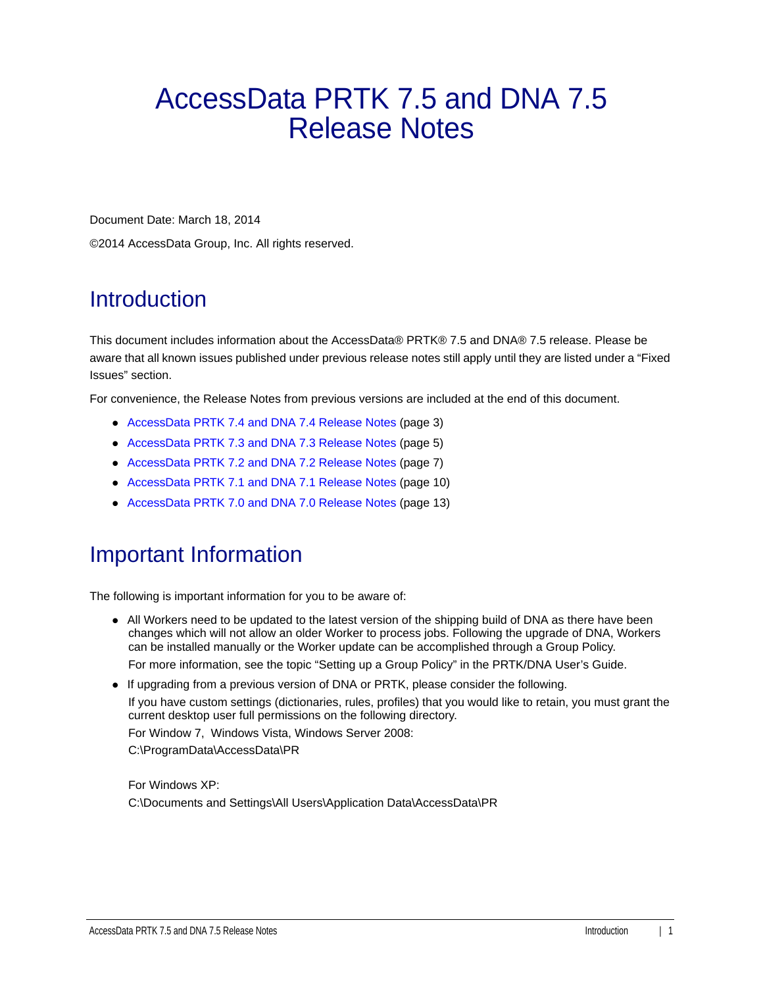# AccessData PRTK 7.5 and DNA 7.5 Release Notes

Document Date: March 18, 2014

©2014 AccessData Group, Inc. All rights reserved.

# Introduction

This document includes information about the AccessData® PRTK® 7.5 and DNA® 7.5 release. Please be aware that all known issues published under previous release notes still apply until they are listed under a "Fixed Issues" section.

For convenience, the Release Notes from previous versions are included at the end of this document.

- [AccessData PRTK 7.4 and DNA 7.4 Release Notes \(page 3\)](#page-2-0)
- [AccessData PRTK 7.3 and DNA 7.3 Release Notes \(page 5\)](#page-4-0)
- [AccessData PRTK 7.2 and DNA 7.2 Release Notes \(page 7\)](#page-6-0)
- [AccessData PRTK 7.1 and DNA 7.1 Release Notes \(page 10\)](#page-9-0)
- [AccessData PRTK 7.0 and DNA 7.0 Release Notes \(page 13\)](#page-12-0)

### Important Information

The following is important information for you to be aware of:

- All Workers need to be updated to the latest version of the shipping build of DNA as there have been changes which will not allow an older Worker to process jobs. Following the upgrade of DNA, Workers can be installed manually or the Worker update can be accomplished through a Group Policy. For more information, see the topic "Setting up a Group Policy" in the PRTK/DNA User's Guide.
- If upgrading from a previous version of DNA or PRTK, please consider the following. If you have custom settings (dictionaries, rules, profiles) that you would like to retain, you must grant the current desktop user full permissions on the following directory. For Window 7, Windows Vista, Windows Server 2008: C:\ProgramData\AccessData\PR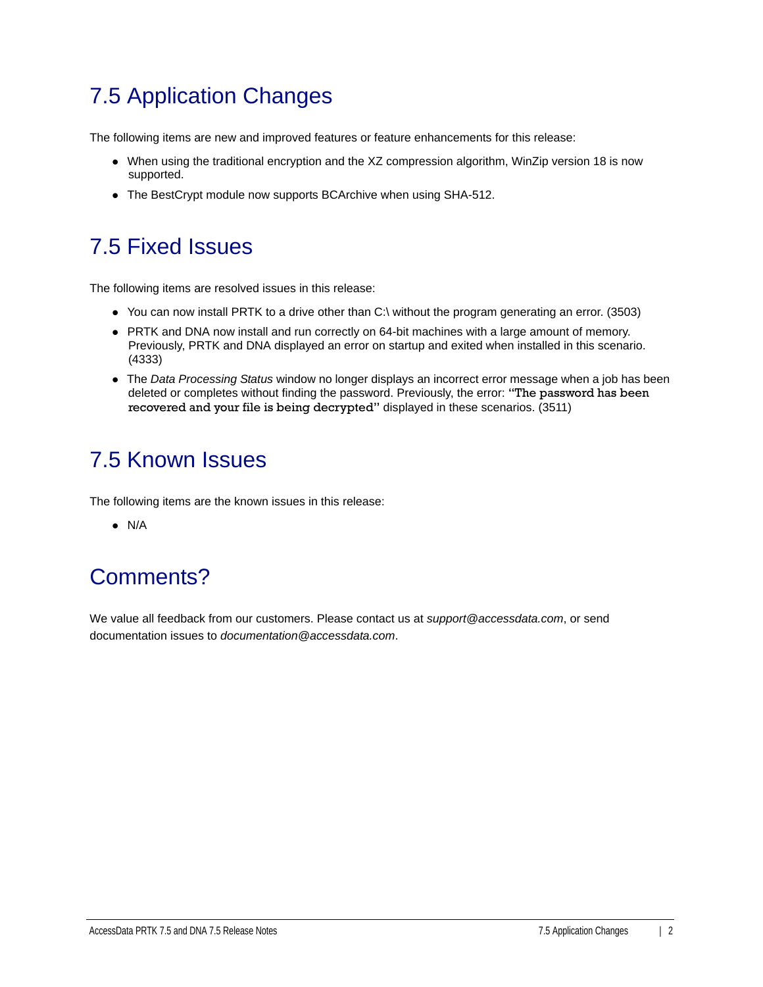# 7.5 Application Changes

The following items are new and improved features or feature enhancements for this release:

- When using the traditional encryption and the XZ compression algorithm, WinZip version 18 is now supported.
- The BestCrypt module now supports BCArchive when using SHA-512.

# 7.5 Fixed Issues

The following items are resolved issues in this release:

- You can now install PRTK to a drive other than C:\ without the program generating an error. (3503)
- PRTK and DNA now install and run correctly on 64-bit machines with a large amount of memory. Previously, PRTK and DNA displayed an error on startup and exited when installed in this scenario. (4333)
- The *Data Processing Status* window no longer displays an incorrect error message when a job has been deleted or completes without finding the password. Previously, the error: "The password has been recovered and your file is being decrypted" displayed in these scenarios. (3511)

# 7.5 Known Issues

The following items are the known issues in this release:

 $\bullet$  N/A

# Comments?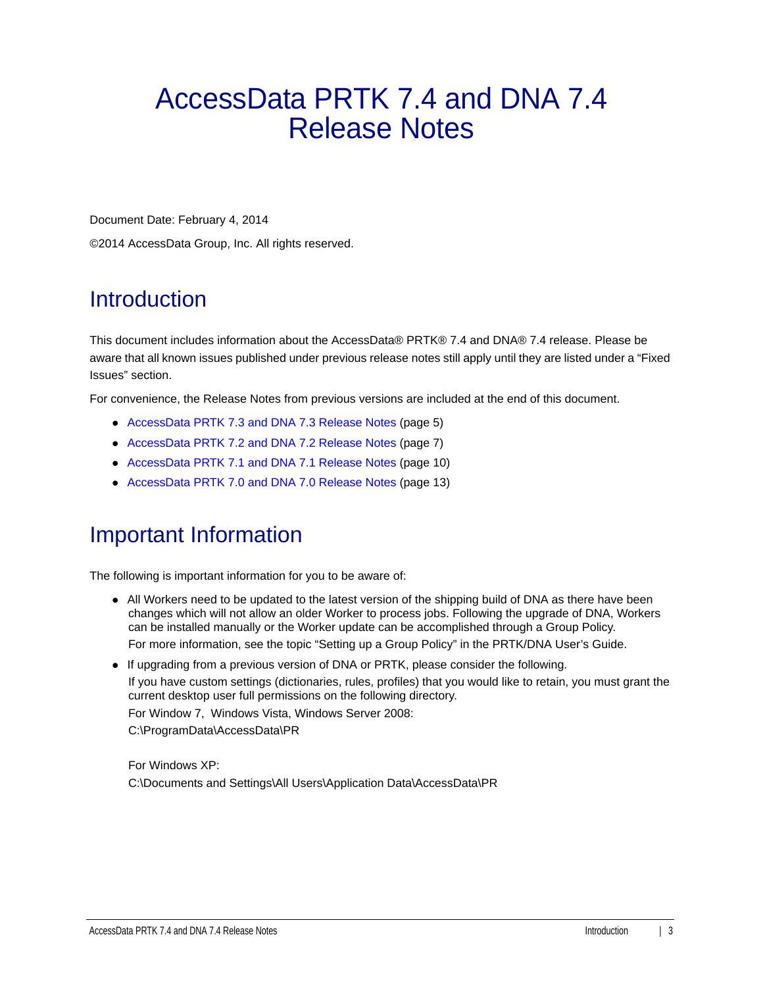# <span id="page-2-0"></span>AccessData PRTK 7.4 and DNA 7.4 Release Notes

Document Date: February 4, 2014

©2014 AccessData Group, Inc. All rights reserved.

# Introduction

This document includes information about the AccessData® PRTK® 7.4 and DNA® 7.4 release. Please be aware that all known issues published under previous release notes still apply until they are listed under a "Fixed Issues" section.

For convenience, the Release Notes from previous versions are included at the end of this document.

- [AccessData PRTK 7.3 and DNA 7.3 Release Notes \(page 5\)](#page-4-0)
- [AccessData PRTK 7.2 and DNA 7.2 Release Notes \(page 7\)](#page-6-0)
- [AccessData PRTK 7.1 and DNA 7.1 Release Notes \(page 10\)](#page-9-0)
- [AccessData PRTK 7.0 and DNA 7.0 Release Notes \(page 13\)](#page-12-0)

# Important Information

The following is important information for you to be aware of:

All Workers need to be updated to the latest version of the shipping build of DNA as there have been changes which will not allow an older Worker to process jobs. Following the upgrade of DNA, Workers can be installed manually or the Worker update can be accomplished through a Group Policy.

For more information, see the topic "Setting up a Group Policy" in the PRTK/DNA User's Guide.

- If upgrading from a previous version of DNA or PRTK, please consider the following. If you have custom settings (dictionaries, rules, profiles) that you would like to retain, you must grant the
	- current desktop user full permissions on the following directory.

For Window 7, Windows Vista, Windows Server 2008:

C:\ProgramData\AccessData\PR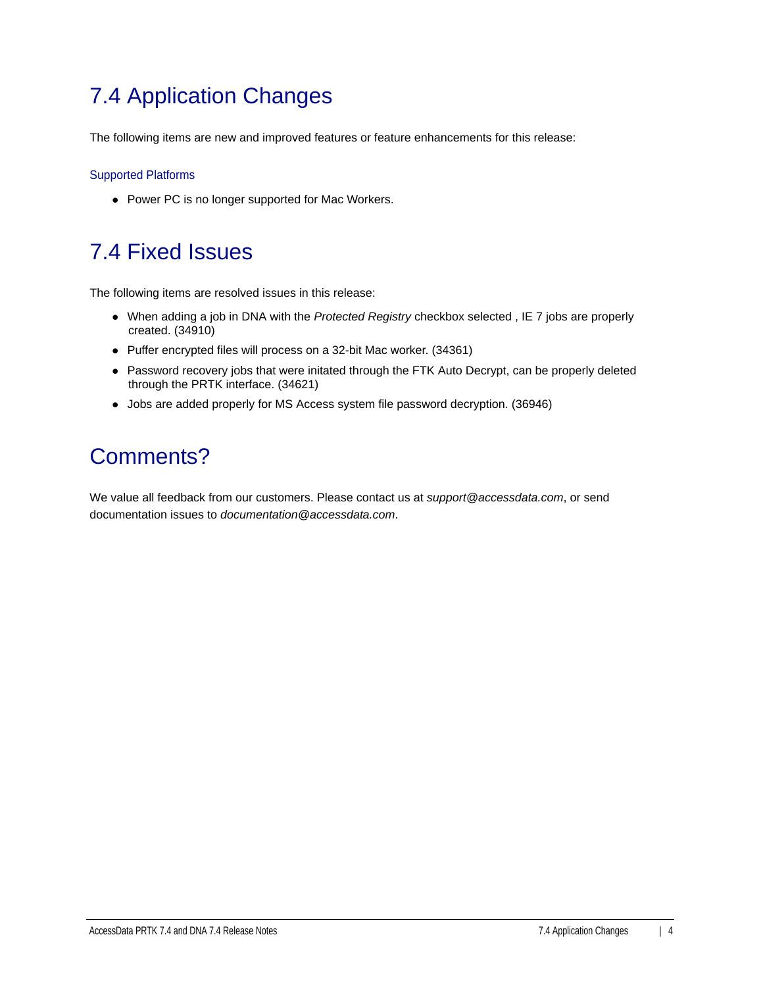# 7.4 Application Changes

The following items are new and improved features or feature enhancements for this release:

#### Supported Platforms

• Power PC is no longer supported for Mac Workers.

# 7.4 Fixed Issues

The following items are resolved issues in this release:

- When adding a job in DNA with the *Protected Registry* checkbox selected , IE 7 jobs are properly created. (34910)
- Puffer encrypted files will process on a 32-bit Mac worker. (34361)
- Password recovery jobs that were initated through the FTK Auto Decrypt, can be properly deleted through the PRTK interface. (34621)
- Jobs are added properly for MS Access system file password decryption. (36946)

# Comments?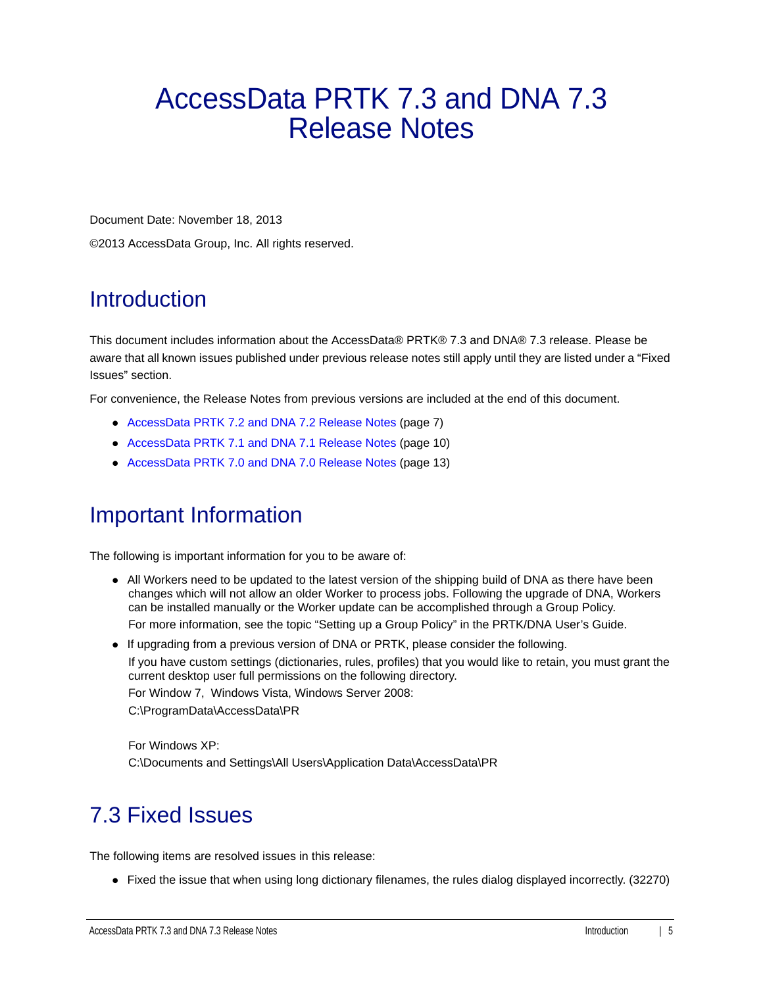# <span id="page-4-0"></span>AccessData PRTK 7.3 and DNA 7.3 Release Notes

Document Date: November 18, 2013

©2013 AccessData Group, Inc. All rights reserved.

# Introduction

This document includes information about the AccessData® PRTK® 7.3 and DNA® 7.3 release. Please be aware that all known issues published under previous release notes still apply until they are listed under a "Fixed Issues" section.

For convenience, the Release Notes from previous versions are included at the end of this document.

- [AccessData PRTK 7.2 and DNA 7.2 Release Notes \(page 7\)](#page-6-0)
- [AccessData PRTK 7.1 and DNA 7.1 Release Notes \(page 10\)](#page-9-0)
- [AccessData PRTK 7.0 and DNA 7.0 Release Notes \(page 13\)](#page-12-0)

# Important Information

The following is important information for you to be aware of:

- All Workers need to be updated to the latest version of the shipping build of DNA as there have been changes which will not allow an older Worker to process jobs. Following the upgrade of DNA, Workers can be installed manually or the Worker update can be accomplished through a Group Policy. For more information, see the topic "Setting up a Group Policy" in the PRTK/DNA User's Guide.
- If upgrading from a previous version of DNA or PRTK, please consider the following.

If you have custom settings (dictionaries, rules, profiles) that you would like to retain, you must grant the current desktop user full permissions on the following directory.

For Window 7, Windows Vista, Windows Server 2008:

C:\ProgramData\AccessData\PR

For Windows XP: C:\Documents and Settings\All Users\Application Data\AccessData\PR

# 7.3 Fixed Issues

The following items are resolved issues in this release:

• Fixed the issue that when using long dictionary filenames, the rules dialog displayed incorrectly. (32270)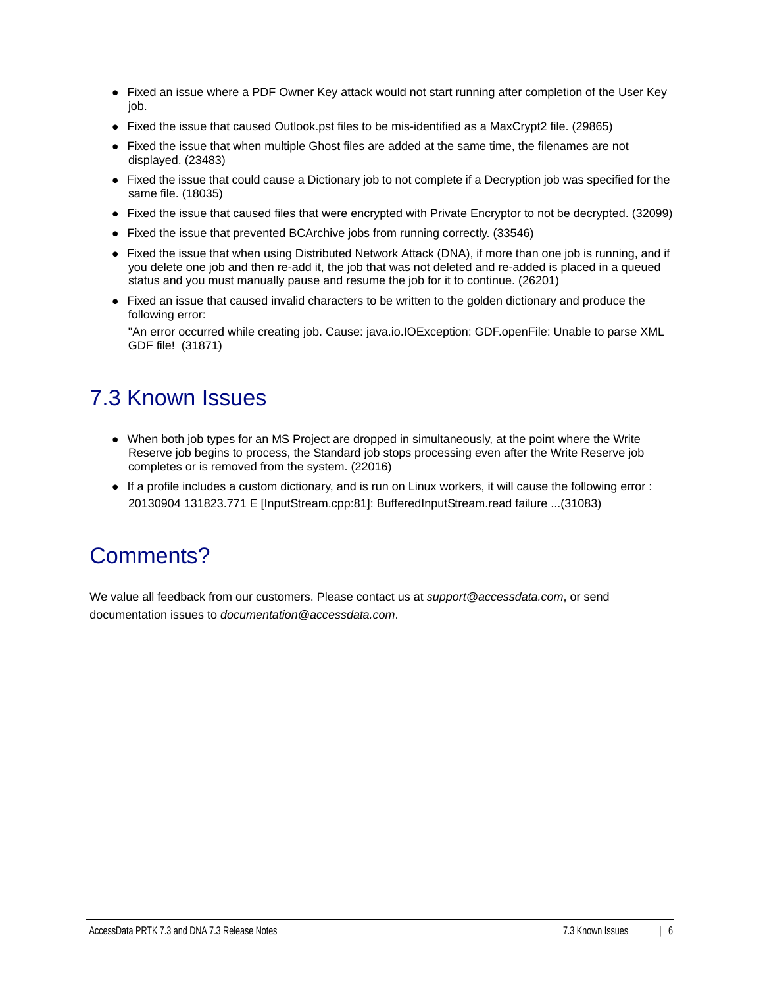- Fixed an issue where a PDF Owner Key attack would not start running after completion of the User Key job.
- Fixed the issue that caused Outlook.pst files to be mis-identified as a MaxCrypt2 file. (29865)
- Fixed the issue that when multiple Ghost files are added at the same time, the filenames are not displayed. (23483)
- Fixed the issue that could cause a Dictionary job to not complete if a Decryption job was specified for the same file. (18035)
- Fixed the issue that caused files that were encrypted with Private Encryptor to not be decrypted. (32099)
- Fixed the issue that prevented BCArchive jobs from running correctly. (33546)
- Fixed the issue that when using Distributed Network Attack (DNA), if more than one job is running, and if you delete one job and then re-add it, the job that was not deleted and re-added is placed in a queued status and you must manually pause and resume the job for it to continue. (26201)
- Fixed an issue that caused invalid characters to be written to the golden dictionary and produce the following error:

"An error occurred while creating job. Cause: java.io.IOException: GDF.openFile: Unable to parse XML GDF file! (31871)

# 7.3 Known Issues

- When both job types for an MS Project are dropped in simultaneously, at the point where the Write Reserve job begins to process, the Standard job stops processing even after the Write Reserve job completes or is removed from the system. (22016)
- If a profile includes a custom dictionary, and is run on Linux workers, it will cause the following error : 20130904 131823.771 E [InputStream.cpp:81]: BufferedInputStream.read failure ...(31083)

### Comments?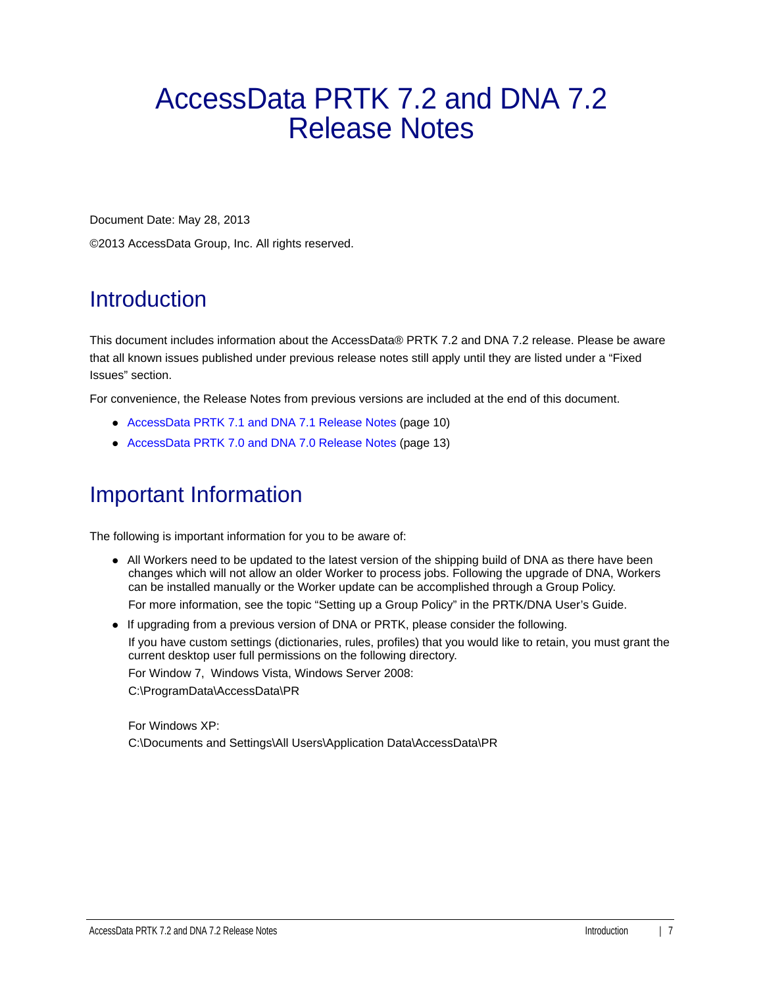# <span id="page-6-0"></span>AccessData PRTK 7.2 and DNA 7.2 Release Notes

Document Date: May 28, 2013

©2013 AccessData Group, Inc. All rights reserved.

# Introduction

This document includes information about the AccessData® PRTK 7.2 and DNA 7.2 release. Please be aware that all known issues published under previous release notes still apply until they are listed under a "Fixed Issues" section.

For convenience, the Release Notes from previous versions are included at the end of this document.

- [AccessData PRTK 7.1 and DNA 7.1 Release Notes \(page 10\)](#page-9-0)
- [AccessData PRTK 7.0 and DNA 7.0 Release Notes \(page 13\)](#page-12-0)

# Important Information

The following is important information for you to be aware of:

- All Workers need to be updated to the latest version of the shipping build of DNA as there have been changes which will not allow an older Worker to process jobs. Following the upgrade of DNA, Workers can be installed manually or the Worker update can be accomplished through a Group Policy. For more information, see the topic "Setting up a Group Policy" in the PRTK/DNA User's Guide.
- If upgrading from a previous version of DNA or PRTK, please consider the following. If you have custom settings (dictionaries, rules, profiles) that you would like to retain, you must grant the current desktop user full permissions on the following directory. For Window 7, Windows Vista, Windows Server 2008: C:\ProgramData\AccessData\PR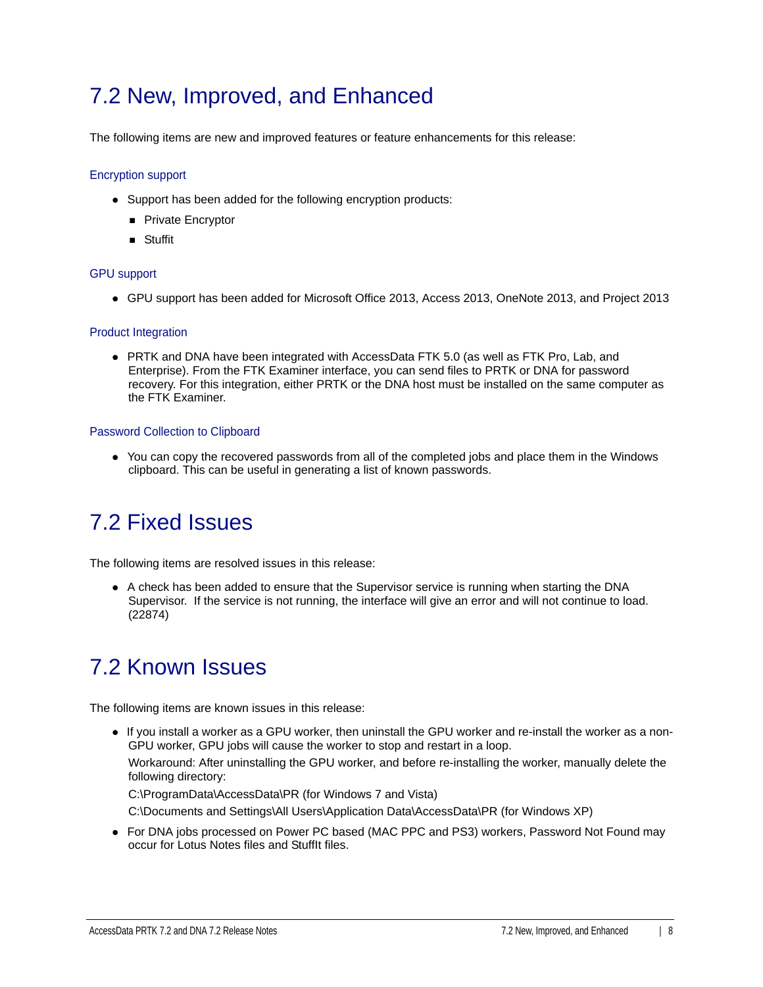### 7.2 New, Improved, and Enhanced

The following items are new and improved features or feature enhancements for this release:

#### Encryption support

- Support has been added for the following encryption products:
	- **Private Encryptor**
	- **B** Stuffit

#### GPU support

GPU support has been added for Microsoft Office 2013, Access 2013, OneNote 2013, and Project 2013

#### Product Integration

PRTK and DNA have been integrated with AccessData FTK 5.0 (as well as FTK Pro, Lab, and Enterprise). From the FTK Examiner interface, you can send files to PRTK or DNA for password recovery. For this integration, either PRTK or the DNA host must be installed on the same computer as the FTK Examiner.

#### Password Collection to Clipboard

• You can copy the recovered passwords from all of the completed jobs and place them in the Windows clipboard. This can be useful in generating a list of known passwords.

### 7.2 Fixed Issues

The following items are resolved issues in this release:

A check has been added to ensure that the Supervisor service is running when starting the DNA Supervisor. If the service is not running, the interface will give an error and will not continue to load. (22874)

### 7.2 Known Issues

The following items are known issues in this release:

If you install a worker as a GPU worker, then uninstall the GPU worker and re-install the worker as a non-GPU worker, GPU jobs will cause the worker to stop and restart in a loop.

Workaround: After uninstalling the GPU worker, and before re-installing the worker, manually delete the following directory:

C:\ProgramData\AccessData\PR (for Windows 7 and Vista)

C:\Documents and Settings\All Users\Application Data\AccessData\PR (for Windows XP)

For DNA jobs processed on Power PC based (MAC PPC and PS3) workers, Password Not Found may occur for Lotus Notes files and StuffIt files.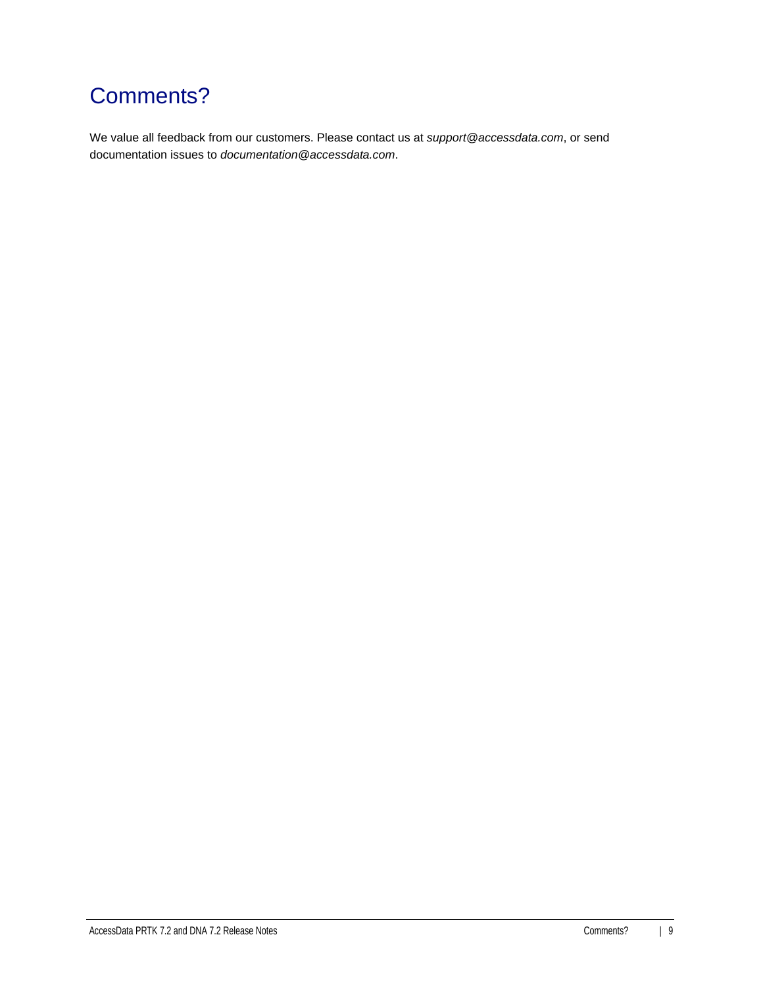# Comments?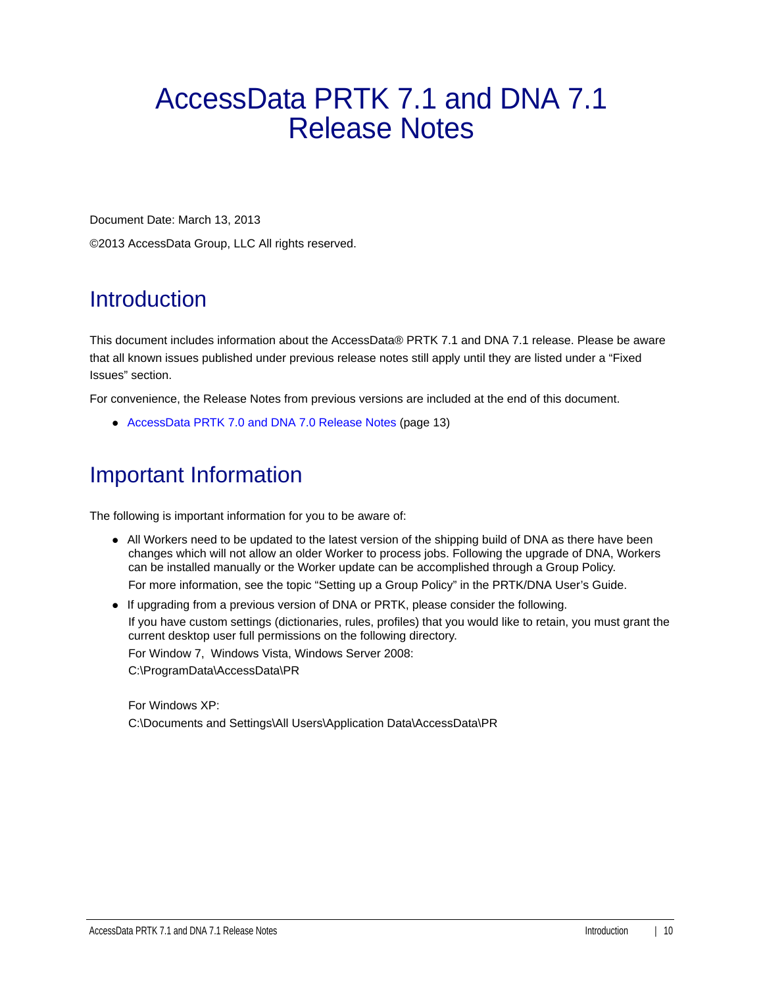# <span id="page-9-0"></span>AccessData PRTK 7.1 and DNA 7.1 Release Notes

Document Date: March 13, 2013

©2013 AccessData Group, LLC All rights reserved.

# **Introduction**

This document includes information about the AccessData® PRTK 7.1 and DNA 7.1 release. Please be aware that all known issues published under previous release notes still apply until they are listed under a "Fixed Issues" section.

For convenience, the Release Notes from previous versions are included at the end of this document.

[AccessData PRTK 7.0 and DNA 7.0 Release Notes \(page 13\)](#page-12-0)

### Important Information

The following is important information for you to be aware of:

- All Workers need to be updated to the latest version of the shipping build of DNA as there have been changes which will not allow an older Worker to process jobs. Following the upgrade of DNA, Workers can be installed manually or the Worker update can be accomplished through a Group Policy. For more information, see the topic "Setting up a Group Policy" in the PRTK/DNA User's Guide.
- If upgrading from a previous version of DNA or PRTK, please consider the following.

If you have custom settings (dictionaries, rules, profiles) that you would like to retain, you must grant the current desktop user full permissions on the following directory.

For Window 7, Windows Vista, Windows Server 2008:

C:\ProgramData\AccessData\PR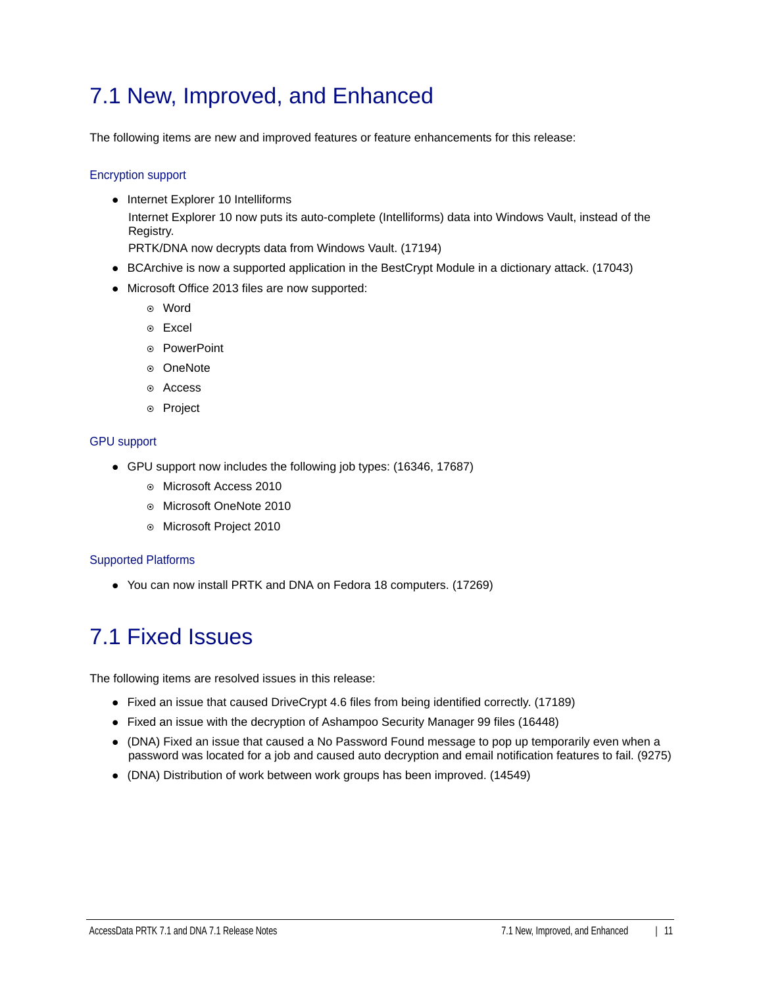### 7.1 New, Improved, and Enhanced

The following items are new and improved features or feature enhancements for this release:

#### Encryption support

• Internet Explorer 10 Intelliforms Internet Explorer 10 now puts its auto-complete (Intelliforms) data into Windows Vault, instead of the Registry.

PRTK/DNA now decrypts data from Windows Vault. (17194)

- BCArchive is now a supported application in the BestCrypt Module in a dictionary attack. (17043)
- Microsoft Office 2013 files are now supported:
	- Word
	- Excel
	- ◎ PowerPoint
	- ⊙ OneNote
	- Access
	- ⊙ Project

#### GPU support

- GPU support now includes the following job types: (16346, 17687)
	- Microsoft Access 2010
	- Microsoft OneNote 2010
	- Microsoft Project 2010

#### Supported Platforms

You can now install PRTK and DNA on Fedora 18 computers. (17269)

### 7.1 Fixed Issues

The following items are resolved issues in this release:

- Fixed an issue that caused DriveCrypt 4.6 files from being identified correctly. (17189)
- Fixed an issue with the decryption of Ashampoo Security Manager 99 files (16448)
- (DNA) Fixed an issue that caused a No Password Found message to pop up temporarily even when a password was located for a job and caused auto decryption and email notification features to fail. (9275)
- (DNA) Distribution of work between work groups has been improved. (14549)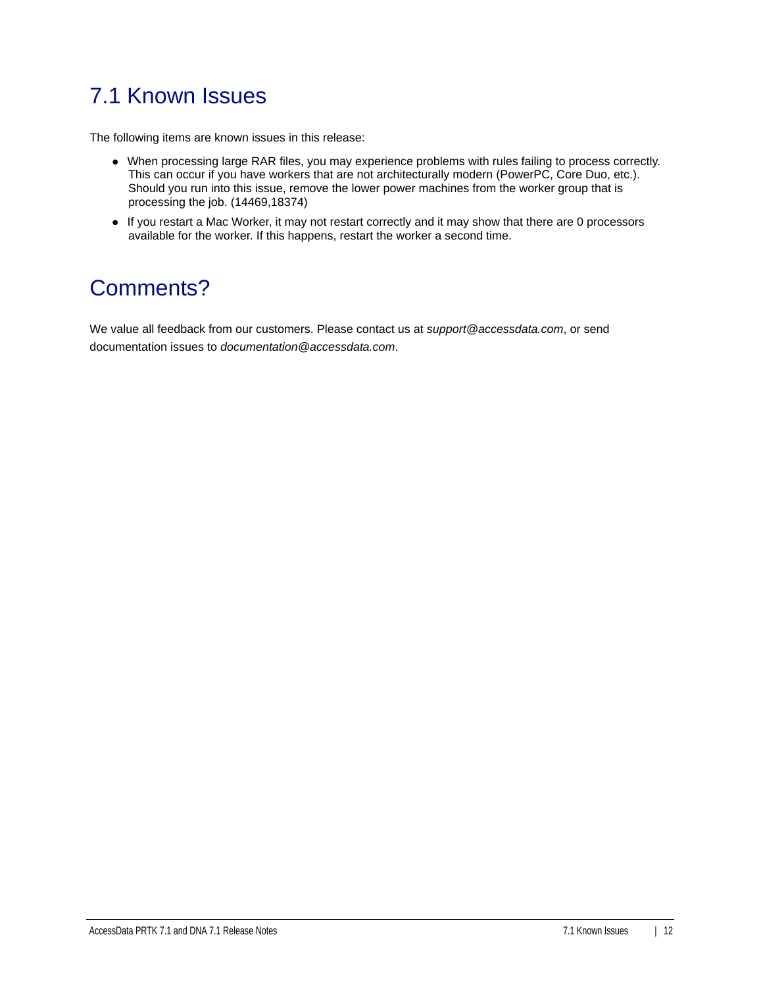# 7.1 Known Issues

The following items are known issues in this release:

- When processing large RAR files, you may experience problems with rules failing to process correctly. This can occur if you have workers that are not architecturally modern (PowerPC, Core Duo, etc.). Should you run into this issue, remove the lower power machines from the worker group that is processing the job. (14469,18374)
- If you restart a Mac Worker, it may not restart correctly and it may show that there are 0 processors available for the worker. If this happens, restart the worker a second time.

### Comments?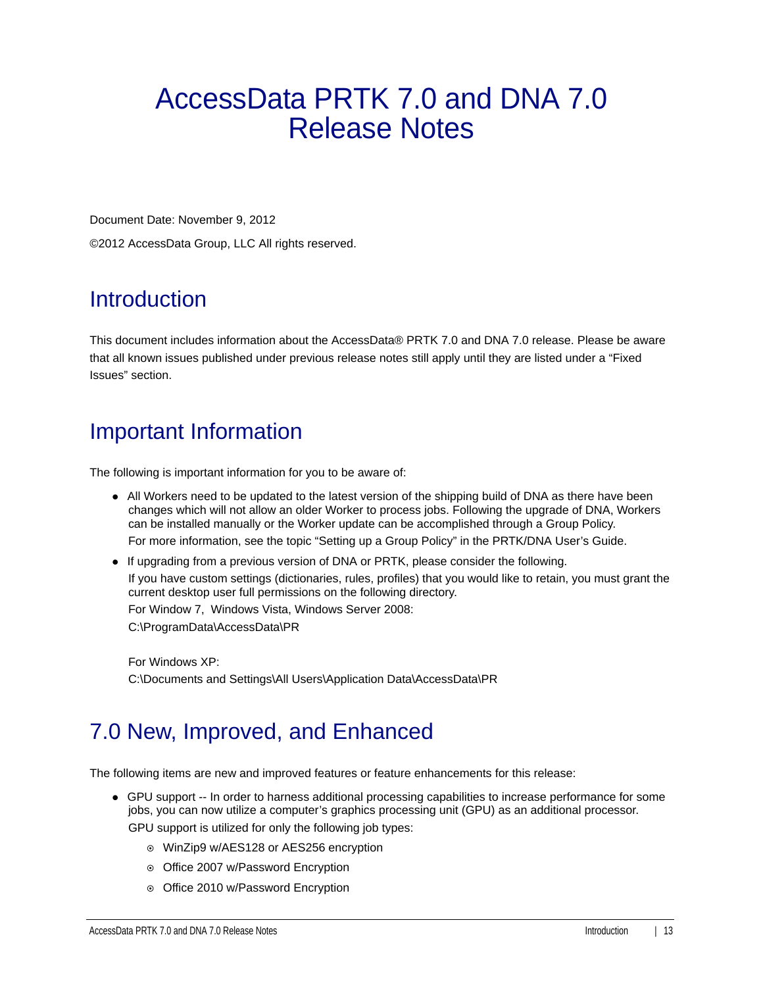# <span id="page-12-0"></span>AccessData PRTK 7.0 and DNA 7.0 Release Notes

Document Date: November 9, 2012

©2012 AccessData Group, LLC All rights reserved.

### **Introduction**

This document includes information about the AccessData® PRTK 7.0 and DNA 7.0 release. Please be aware that all known issues published under previous release notes still apply until they are listed under a "Fixed Issues" section.

# Important Information

The following is important information for you to be aware of:

- All Workers need to be updated to the latest version of the shipping build of DNA as there have been changes which will not allow an older Worker to process jobs. Following the upgrade of DNA, Workers can be installed manually or the Worker update can be accomplished through a Group Policy. For more information, see the topic "Setting up a Group Policy" in the PRTK/DNA User's Guide.
- If upgrading from a previous version of DNA or PRTK, please consider the following. If you have custom settings (dictionaries, rules, profiles) that you would like to retain, you must grant the current desktop user full permissions on the following directory. For Window 7, Windows Vista, Windows Server 2008:

C:\ProgramData\AccessData\PR

For Windows XP: C:\Documents and Settings\All Users\Application Data\AccessData\PR

### 7.0 New, Improved, and Enhanced

The following items are new and improved features or feature enhancements for this release:

GPU support -- In order to harness additional processing capabilities to increase performance for some jobs, you can now utilize a computer's graphics processing unit (GPU) as an additional processor.

GPU support is utilized for only the following job types:

- WinZip9 w/AES128 or AES256 encryption
- Office 2007 w/Password Encryption
- o Office 2010 w/Password Encryption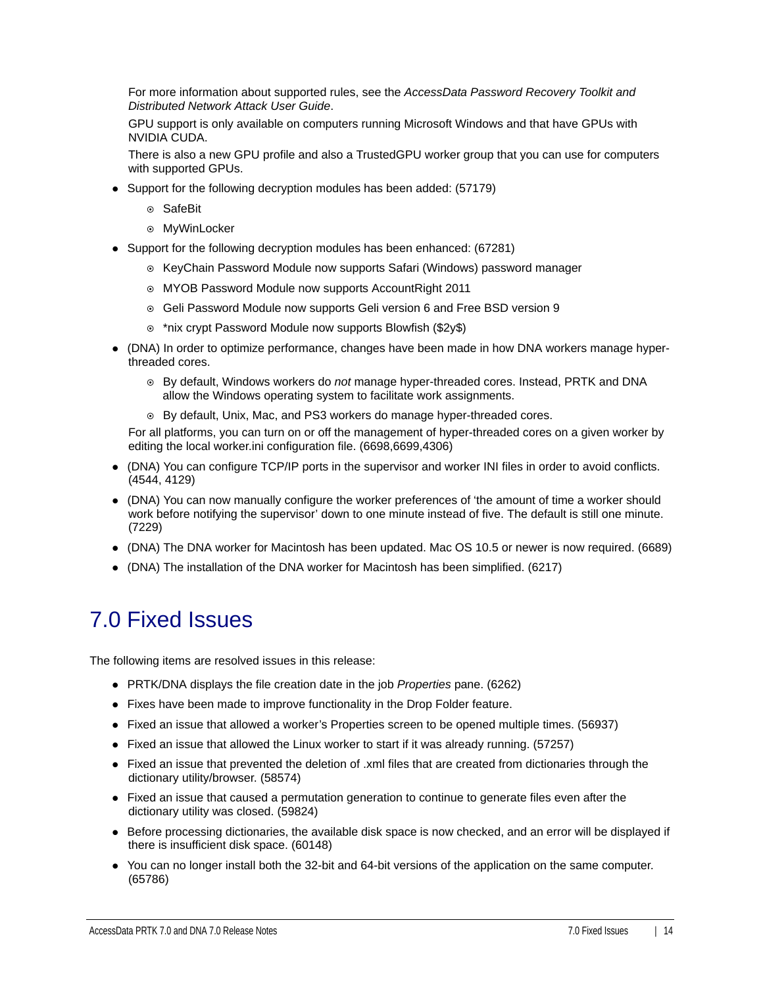For more information about supported rules, see the *AccessData Password Recovery Toolkit and Distributed Network Attack User Guide*.

GPU support is only available on computers running Microsoft Windows and that have GPUs with NVIDIA CUDA.

There is also a new GPU profile and also a TrustedGPU worker group that you can use for computers with supported GPUs.

- Support for the following decryption modules has been added: (57179)
	- ⊙ SafeBit
	- MyWinLocker
- Support for the following decryption modules has been enhanced: (67281)
	- $\circ$  KeyChain Password Module now supports Safari (Windows) password manager
	- MYOB Password Module now supports AccountRight 2011
	- Geli Password Module now supports Geli version 6 and Free BSD version 9
	- \*nix crypt Password Module now supports Blowfish (\$2y\$)
- (DNA) In order to optimize performance, changes have been made in how DNA workers manage hyperthreaded cores.
	- By default, Windows workers do *not* manage hyper-threaded cores. Instead, PRTK and DNA allow the Windows operating system to facilitate work assignments.
	- By default, Unix, Mac, and PS3 workers do manage hyper-threaded cores.

For all platforms, you can turn on or off the management of hyper-threaded cores on a given worker by editing the local worker.ini configuration file. (6698,6699,4306)

- (DNA) You can configure TCP/IP ports in the supervisor and worker INI files in order to avoid conflicts. (4544, 4129)
- (DNA) You can now manually configure the worker preferences of 'the amount of time a worker should work before notifying the supervisor' down to one minute instead of five. The default is still one minute. (7229)
- (DNA) The DNA worker for Macintosh has been updated. Mac OS 10.5 or newer is now required. (6689)
- (DNA) The installation of the DNA worker for Macintosh has been simplified. (6217)

### 7.0 Fixed Issues

The following items are resolved issues in this release:

- PRTK/DNA displays the file creation date in the job *Properties* pane. (6262)
- Fixes have been made to improve functionality in the Drop Folder feature.
- Fixed an issue that allowed a worker's Properties screen to be opened multiple times. (56937)
- Fixed an issue that allowed the Linux worker to start if it was already running. (57257)
- Fixed an issue that prevented the deletion of .xml files that are created from dictionaries through the dictionary utility/browser. (58574)
- Fixed an issue that caused a permutation generation to continue to generate files even after the dictionary utility was closed. (59824)
- Before processing dictionaries, the available disk space is now checked, and an error will be displayed if there is insufficient disk space. (60148)
- You can no longer install both the 32-bit and 64-bit versions of the application on the same computer. (65786)